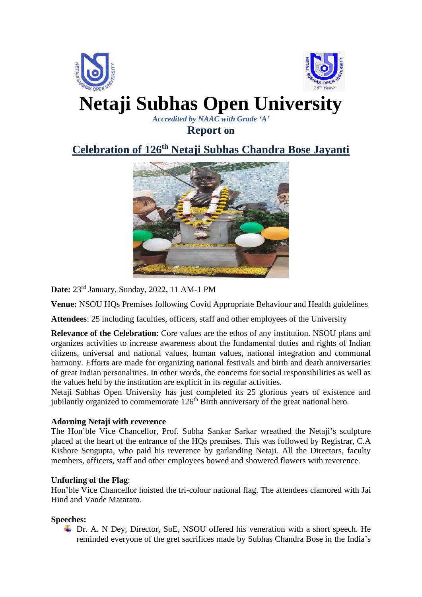

**Report on**

## **Celebration of 126th Netaji Subhas Chandra Bose Jayanti**



**Date:** 23rd January, Sunday, 2022, 11 AM-1 PM

**Venue:** NSOU HQs Premises following Covid Appropriate Behaviour and Health guidelines

**Attendees**: 25 including faculties, officers, staff and other employees of the University

**Relevance of the Celebration**: Core values are the ethos of any institution. NSOU plans and organizes activities to increase awareness about the fundamental duties and rights of Indian citizens, universal and national values, human values, national integration and communal harmony. Efforts are made for organizing national festivals and birth and death anniversaries of great Indian personalities. In other words, the concerns for social responsibilities as well as the values held by the institution are explicit in its regular activities.

Netaji Subhas Open University has just completed its 25 glorious years of existence and jubilantly organized to commemorate  $126<sup>th</sup>$  Birth anniversary of the great national hero.

## **Adorning Netaji with reverence**

The Hon'ble Vice Chancellor, Prof. Subha Sankar Sarkar wreathed the Netaji's sculpture placed at the heart of the entrance of the HQs premises. This was followed by Registrar, C.A Kishore Sengupta, who paid his reverence by garlanding Netaji. All the Directors, faculty members, officers, staff and other employees bowed and showered flowers with reverence.

## **Unfurling of the Flag**:

Hon'ble Vice Chancellor hoisted the tri-colour national flag. The attendees clamored with Jai Hind and Vande Mataram.

## **Speeches:**

Dr. A. N Dey, Director, SoE, NSOU offered his veneration with a short speech. He reminded everyone of the gret sacrifices made by Subhas Chandra Bose in the India's